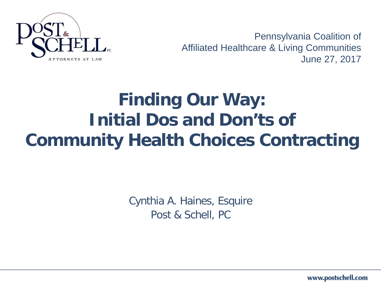

Pennsylvania Coalition of Affiliated Healthcare & Living Communities June 27, 2017

## **Finding Our Way: Initial Dos and Don'ts of Community Health Choices Contracting**

Cynthia A. Haines, Esquire Post & Schell, PC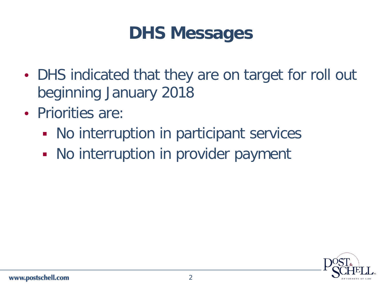#### **DHS Messages**

- DHS indicated that they are on target for roll out beginning January 2018
- Priorities are:
	- No interruption in participant services
	- No interruption in provider payment

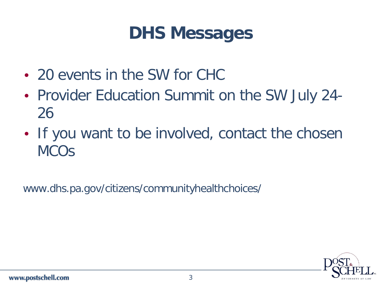#### **DHS Messages**

- 20 events in the SW for CHC
- Provider Education Summit on the SW July 24- 26
- If you want to be involved, contact the chosen **MCO<sub>S</sub>**

www.dhs.pa.gov/citizens/communityhealthchoices/

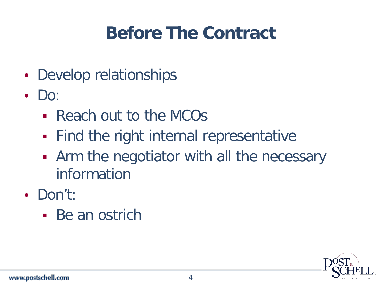## **Before The Contract**

- Develop relationships
- $\cdot$  Do:
	- Reach out to the MCOs
	- **Find the right internal representative**
	- Arm the negotiator with all the necessary information
- Don't:
	- Be an ostrich

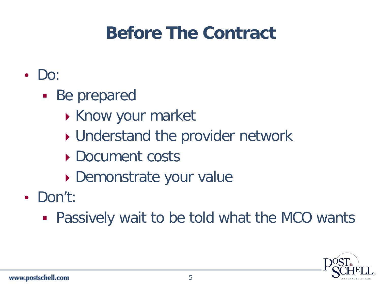## **Before The Contract**

- Do:
	- Be prepared
		- Know your market
		- ▶ Understand the provider network
		- Document costs
		- Demonstrate your value
- Don't:
	- Passively wait to be told what the MCO wants

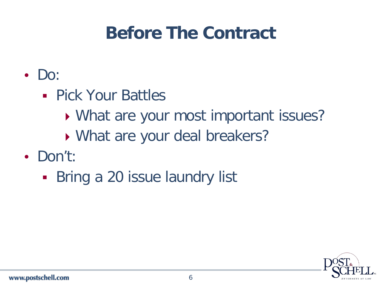## **Before The Contract**

- Do:
	- **Pick Your Battles** 
		- What are your most important issues?
		- What are your deal breakers?
- Don't:
	- **Bring a 20 issue laundry list**

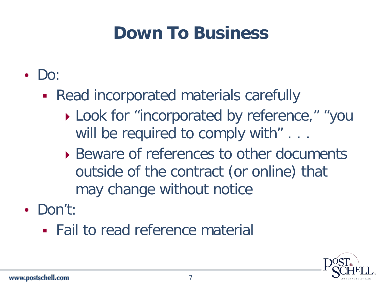## **Down To Business**

- Do:
	- Read incorporated materials carefully
		- ▶ Look for "incorporated by reference," "you will be required to comply with" . . .
		- ▶ Beware of references to other documents outside of the contract (or online) that may change without notice
- Don't:
	- Fail to read reference material

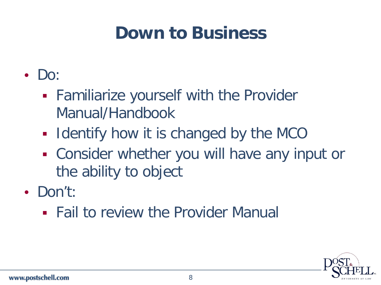### **Down to Business**

- Do:
	- **Familiarize yourself with the Provider** Manual/Handbook
	- **I** Identify how it is changed by the MCO
	- Consider whether you will have any input or the ability to object
- Don't:
	- Fail to review the Provider Manual

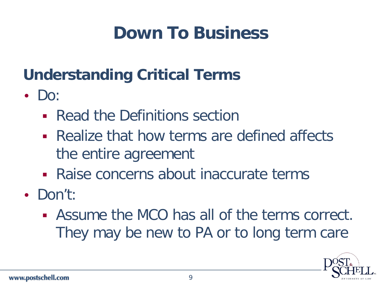## **Down To Business**

#### **Understanding Critical Terms**

- $\cdot$  Do:
	- **Read the Definitions section**
	- Realize that how terms are defined affects the entire agreement
	- Raise concerns about inaccurate terms
- Don't:
	- Assume the MCO has all of the terms correct. They may be new to PA or to long term care

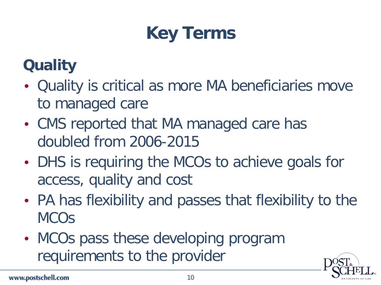## **Key Terms**

- Quality is critical as more MA beneficiaries move to managed care
- CMS reported that MA managed care has doubled from 2006-2015
- DHS is requiring the MCOs to achieve goals for access, quality and cost
- PA has flexibility and passes that flexibility to the **MCO<sub>S</sub>**
- MCOs pass these developing program requirements to the provider

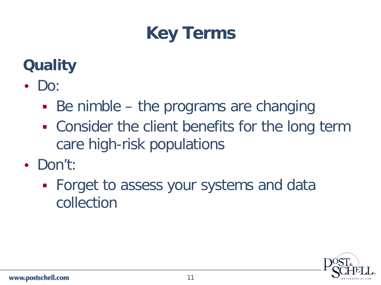### **Key Terms**

- Do:
	- Be nimble the programs are changing
	- **EX Consider the client benefits for the long term** care high-risk populations
- Don't:
	- **Forget to assess your systems and data** collection

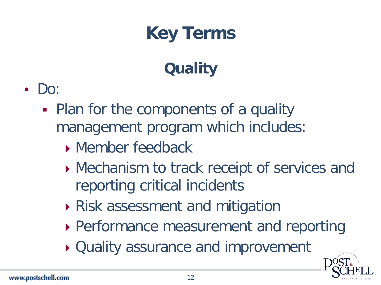

- Do:
	- Plan for the components of a quality management program which includes:
		- **Member feedback**
		- ▶ Mechanism to track receipt of services and reporting critical incidents
		- Risk assessment and mitigation
		- ▶ Performance measurement and reporting
		- ▶ Quality assurance and improvement

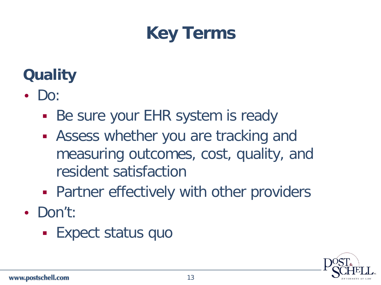

- $\cdot$  Do:
	- **Be sure your EHR system is ready**
	- Assess whether you are tracking and measuring outcomes, cost, quality, and resident satisfaction
	- **Partner effectively with other providers**
- Don't:
	- **Expect status quo**

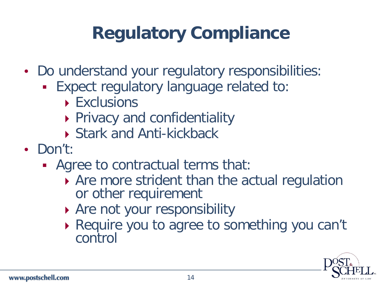## **Regulatory Compliance**

- Do understand your regulatory responsibilities:
	- Expect regulatory language related to:
		- **Exclusions**
		- **Privacy and confidentiality**
		- ▶ Stark and Anti-kickback
- Don't:
	- Agree to contractual terms that:
		- ▶ Are more strident than the actual regulation or other requirement
		- Are not your responsibility
		- ▶ Require you to agree to something you can't control

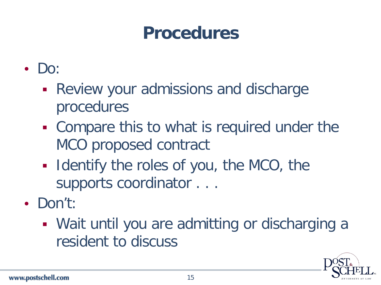- Do:
	- **Review your admissions and discharge** procedures
	- Compare this to what is required under the MCO proposed contract
	- **IDENTIFY THE ROLES OF YOU, the MCO, the** supports coordinator . . .
- Don't:
	- Wait until you are admitting or discharging a resident to discuss

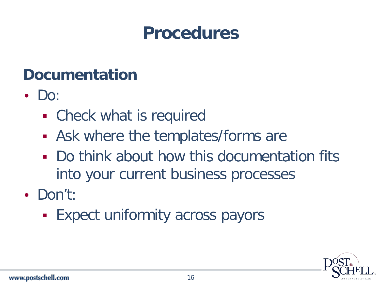#### **Documentation**

- $\cdot$  Do:
	- Check what is required
	- Ask where the templates/forms are
	- Do think about how this documentation fits into your current business processes
- Don't:
	- **Expect uniformity across payors**

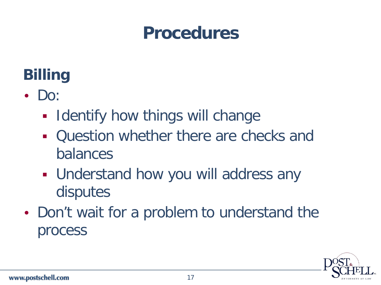### **Billing**

- Do:
	- **Identify how things will change**
	- Question whether there are checks and balances
	- **Understand how you will address any** disputes
- Don't wait for a problem to understand the process

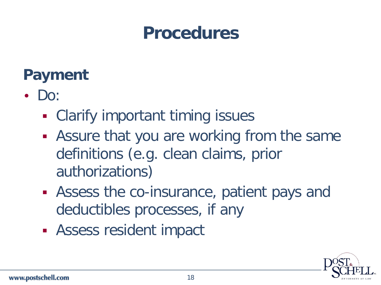#### **Payment**

- $\cdot$  Do:
	- **Example 1 Clarify important timing issues**
	- Assure that you are working from the same definitions (e.g. clean claims, prior authorizations)
	- Assess the co-insurance, patient pays and deductibles processes, if any
	- Assess resident impact

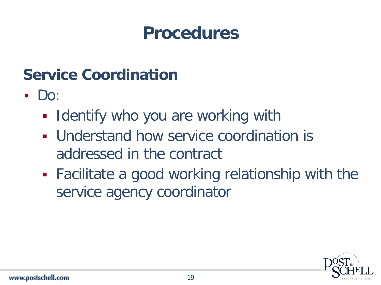#### **Service Coordination**

- $\cdot$  Do:
	- **I ldentify who you are working with**
	- Understand how service coordination is addressed in the contract
	- Facilitate a good working relationship with the service agency coordinator

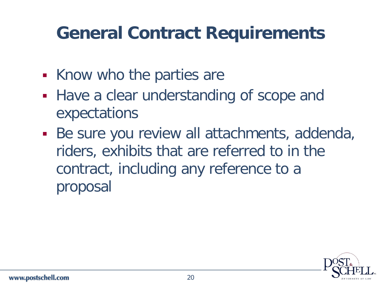### **General Contract Requirements**

- Know who the parties are
- Have a clear understanding of scope and expectations
- Be sure you review all attachments, addenda, riders, exhibits that are referred to in the contract, including any reference to a proposal

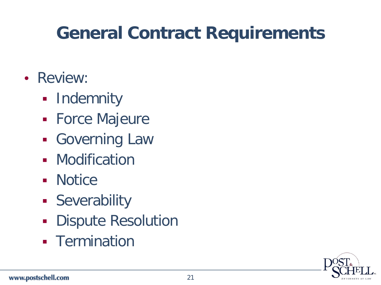## **General Contract Requirements**

- Review:
	- **-** Indemnity
	- **Force Majeure**
	- **Governing Law**
	- **-** Modification
	- **Notice**
	- **Severability**
	- **Dispute Resolution**
	- **Fermination**

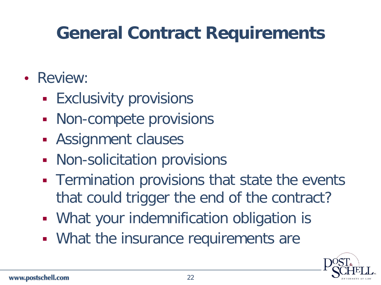## **General Contract Requirements**

- Review:
	- **Exclusivity provisions**
	- **Non-compete provisions**
	- **Assignment clauses**
	- **Non-solicitation provisions**
	- **Termination provisions that state the events** that could trigger the end of the contract?
	- **What your indemnification obligation is**
	- **What the insurance requirements are**